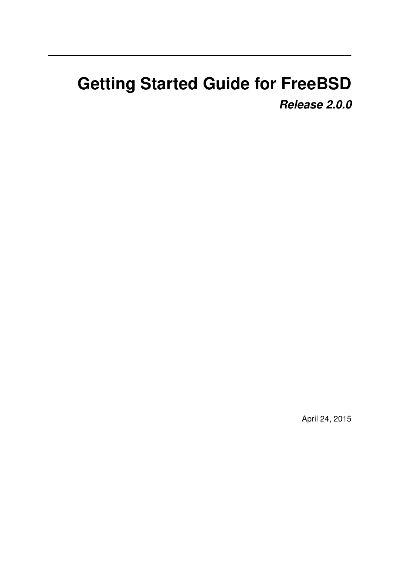# **Getting Started Guide for FreeBSD** *Release 2.0.0*

April 24, 2015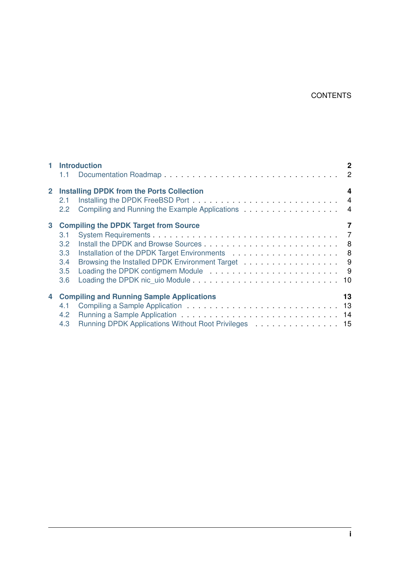#### **CONTENTS**

|   | 1 Introduction                                                                                                                                                    | $\mathbf 2$    |
|---|-------------------------------------------------------------------------------------------------------------------------------------------------------------------|----------------|
|   | $1.1 -$                                                                                                                                                           |                |
|   | 2 Installing DPDK from the Ports Collection<br>2.1<br>Compiling and Running the Example Applications 4<br>$2.2^{\circ}$                                           | $\overline{4}$ |
| 3 | <b>Compiling the DPDK Target from Source</b><br>3.1<br>$3.2^{\circ}$<br>3.3 <sub>2</sub><br>Browsing the Installed DPDK Environment Target 9<br>3.4<br>3.5<br>3.6 | $\overline{7}$ |
| 4 | <b>Compiling and Running Sample Applications</b><br>4.1<br>$4.2^{\circ}$<br>Running DPDK Applications Without Root Privileges 15<br>4.3                           | 13             |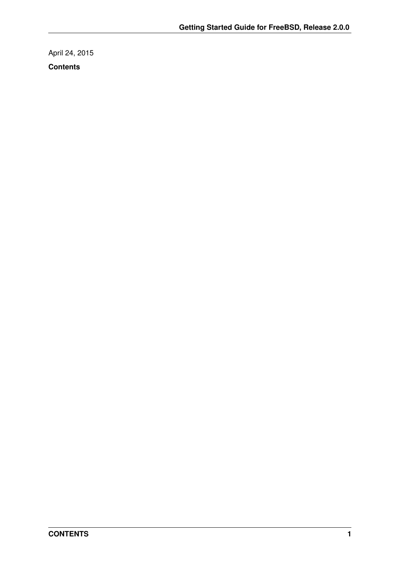April 24, 2015 **Contents**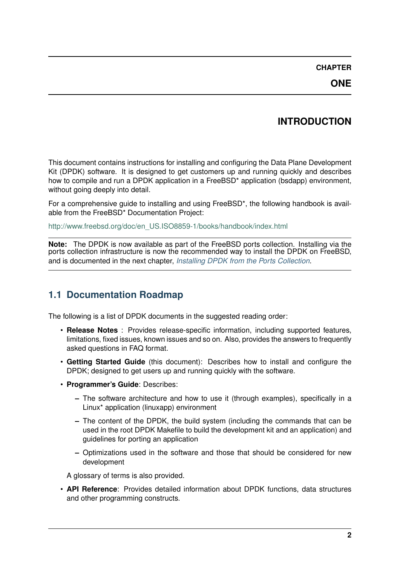#### **CHAPTER**

**ONE**

# **INTRODUCTION**

<span id="page-3-0"></span>This document contains instructions for installing and configuring the Data Plane Development Kit (DPDK) software. It is designed to get customers up and running quickly and describes how to compile and run a DPDK application in a FreeBSD<sup>\*</sup> application (bsdapp) environment, without going deeply into detail.

For a comprehensive guide to installing and using FreeBSD\*, the following handbook is available from the FreeBSD\* Documentation Project:

[http://www.freebsd.org/doc/en\\_US.ISO8859-1/books/handbook/index.html](http://www.freebsd.org/doc/en_US.ISO8859-1/books/handbook/index.html)

**Note:** The DPDK is now available as part of the FreeBSD ports collection. Installing via the ports collection infrastructure is now the recommended way to install the DPDK on FreeBSD, and is documented in the next chapter, *[Installing DPDK from the Ports Collection](#page-5-0)*.

# <span id="page-3-1"></span>**1.1 Documentation Roadmap**

The following is a list of DPDK documents in the suggested reading order:

- **Release Notes** : Provides release-specific information, including supported features, limitations, fixed issues, known issues and so on. Also, provides the answers to frequently asked questions in FAQ format.
- **Getting Started Guide** (this document): Describes how to install and configure the DPDK; designed to get users up and running quickly with the software.
- **Programmer's Guide**: Describes:
	- **–** The software architecture and how to use it (through examples), specifically in a Linux\* application (linuxapp) environment
	- **–** The content of the DPDK, the build system (including the commands that can be used in the root DPDK Makefile to build the development kit and an application) and guidelines for porting an application
	- **–** Optimizations used in the software and those that should be considered for new development

A glossary of terms is also provided.

• **API Reference**: Provides detailed information about DPDK functions, data structures and other programming constructs.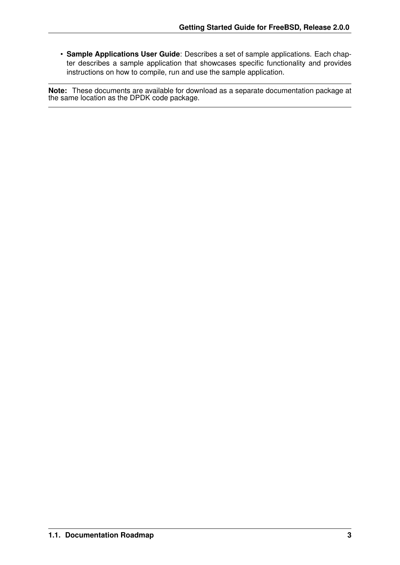• **Sample Applications User Guide**: Describes a set of sample applications. Each chapter describes a sample application that showcases specific functionality and provides instructions on how to compile, run and use the sample application.

**Note:** These documents are available for download as a separate documentation package at the same location as the DPDK code package.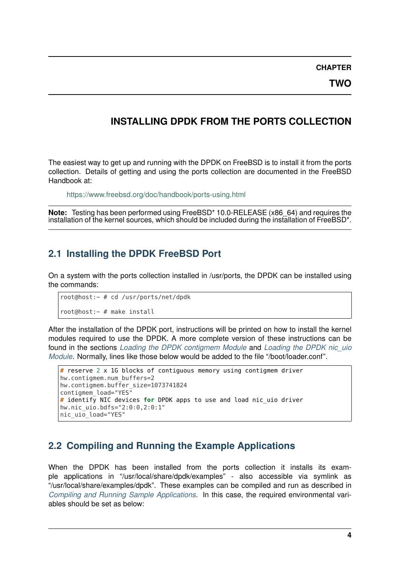**CHAPTER**

**TWO**

## <span id="page-5-0"></span>**INSTALLING DPDK FROM THE PORTS COLLECTION**

The easiest way to get up and running with the DPDK on FreeBSD is to install it from the ports collection. Details of getting and using the ports collection are documented in the FreeBSD Handbook at:

<https://www.freebsd.org/doc/handbook/ports-using.html>

**Note:** Testing has been performed using FreeBSD\* 10.0-RELEASE (x86\_64) and requires the installation of the kernel sources, which should be included during the installation of FreeBSD\*.

### <span id="page-5-1"></span>**2.1 Installing the DPDK FreeBSD Port**

On a system with the ports collection installed in /usr/ports, the DPDK can be installed using the commands:

```
root@host:~ # cd /usr/ports/net/dpdk
root@host:~ # make install
```
After the installation of the DPDK port, instructions will be printed on how to install the kernel modules required to use the DPDK. A more complete version of these instructions can be found in the sections *[Loading the DPDK contigmem Module](#page-10-1)* and *[Loading the DPDK nic\\_uio](#page-11-0) [Module](#page-11-0)*. Normally, lines like those below would be added to the file "/boot/loader.conf".

```
# reserve 2 x 1G blocks of contiguous memory using contigmem driver
hw.contigmem.num_buffers=2
hw.contigmem.buffer_size=1073741824
contigmem_load="YES"
# identify NIC devices for DPDK apps to use and load nic_uio driver
hw.nic_uio.bdfs="2:0:0,2:0:1"
nic_uio_load="YES"
```
### <span id="page-5-2"></span>**2.2 Compiling and Running the Example Applications**

When the DPDK has been installed from the ports collection it installs its example applications in "/usr/local/share/dpdk/examples" - also accessible via symlink as "/usr/local/share/examples/dpdk". These examples can be compiled and run as described in *[Compiling and Running Sample Applications](#page-14-0)*. In this case, the required environmental variables should be set as below: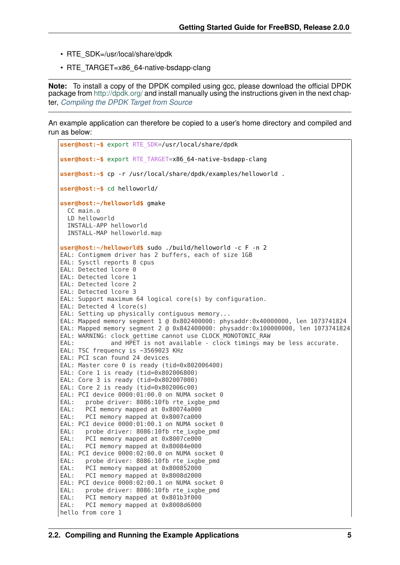- RTE\_SDK=/usr/local/share/dpdk
- RTE\_TARGET=x86\_64-native-bsdapp-clang

**Note:** To install a copy of the DPDK compiled using gcc, please download the official DPDK package from <http://dpdk.org/> and install manually using the instructions given in the next chapter, *[Compiling the DPDK Target from Source](#page-8-0)*

An example application can therefore be copied to a user's home directory and compiled and run as below:

```
user@host:~$ export RTE_SDK=/usr/local/share/dpdk
user@host:~$ export RTE_TARGET=x86_64-native-bsdapp-clang
user@host:~$ cp -r /usr/local/share/dpdk/examples/helloworld .
user@host:~$ cd helloworld/
user@host:~/helloworld$ gmake
  CC main.o
  LD helloworld
  INSTALL-APP helloworld
  INSTALL-MAP helloworld.map
user@host:~/helloworld$ sudo ./build/helloworld -c F -n 2
EAL: Contigmem driver has 2 buffers, each of size 1GB
EAL: Sysctl reports 8 cpus
EAL: Detected lcore 0
EAL: Detected lcore 1
EAL: Detected lcore 2
EAL: Detected lcore 3
EAL: Support maximum 64 logical core(s) by configuration.
EAL: Detected 4 lcore(s)
EAL: Setting up physically contiguous memory...
EAL: Mapped memory segment 1 @ 0x802400000: physaddr:0x40000000, len 1073741824
EAL: Mapped memory segment 2 @ 0x842400000: physaddr:0x100000000, len 1073741824
EAL: WARNING: clock gettime cannot use CLOCK MONOTONIC RAW
EAL: and HPET is not available - c\overline{loc} k timings may be less accurate.
EAL: TSC frequency is ~3569023 KHz
EAL: PCI scan found 24 devices
EAL: Master core 0 is ready (tid=0x802006400)
EAL: Core 1 is ready (tid=0x802006800)
EAL: Core 3 is ready (tid=0x802007000)
EAL: Core 2 is ready (tid=0x802006c00)
EAL: PCI device 0000:01:00.0 on NUMA socket 0<br>EAL: probe driver: 8086:10fb rte ixabe pmd
EAL: probe driver: 8086:10fb rte_ixgbe_pmd<br>EAL: PCI memory mapped at 0x80074a000
       PCI memory mapped at 0 \times 8007\overline{4}a000
EAL: PCI memory mapped at 0x8007ca000
EAL: PCI device 0000:01:00.1 on NUMA socket 0
EAL: probe driver: 8086:10fb rte_ixgbe_pmd<br>EAL: PCI memory mapped at 0x8007ce000
       PCI memory mapped at 0x8007ce000
EAL: PCI memory mapped at 0x80084e000
EAL: PCI device 0000:02:00.0 on NUMA socket 0
EAL: probe driver: 8086:10fb rte_ixgbe_pmd<br>EAL: PCI memory mapped at 0x800852000
       PCI memory mapped at 0x800852000
EAL: PCI memory mapped at 0x8008d2000
EAL: PCI device 0000:02:00.1 on NUMA socket 0
EAL: probe driver: 8086:10fb rte ixgbe pmd
EAL: PCI memory mapped at 0x801b3f000
EAL: PCI memory mapped at 0x8008d6000
hello from core 1
```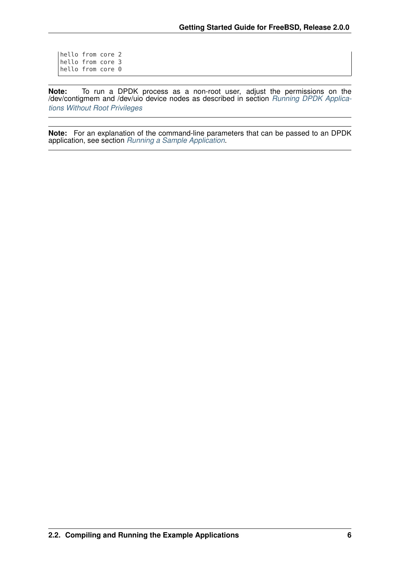hello from core 2 hello from core 3 hello from core 0

**Note:** To run a DPDK process as a non-root user, adjust the permissions on the /dev/contigmem and /dev/uio device nodes as described in section *[Running DPDK Applica](#page-16-0)[tions Without Root Privileges](#page-16-0)*

**Note:** For an explanation of the command-line parameters that can be passed to an DPDK application, see section *[Running a Sample Application](#page-15-0)*.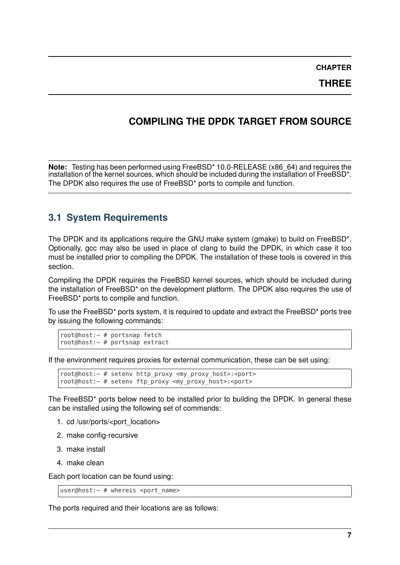**CHAPTER**

**THREE**

### <span id="page-8-0"></span>**COMPILING THE DPDK TARGET FROM SOURCE**

**Note:** Testing has been performed using FreeBSD\* 10.0-RELEASE (x86\_64) and requires the installation of the kernel sources, which should be included during the installation of FreeBSD\*. The DPDK also requires the use of FreeBSD\* ports to compile and function.

### <span id="page-8-1"></span>**3.1 System Requirements**

The DPDK and its applications require the GNU make system (gmake) to build on FreeBSD\*. Optionally, gcc may also be used in place of clang to build the DPDK, in which case it too must be installed prior to compiling the DPDK. The installation of these tools is covered in this section.

Compiling the DPDK requires the FreeBSD kernel sources, which should be included during the installation of FreeBSD\* on the development platform. The DPDK also requires the use of FreeBSD\* ports to compile and function.

To use the FreeBSD\* ports system, it is required to update and extract the FreeBSD\* ports tree by issuing the following commands:

```
root@host:~ # portsnap fetch
root@host:~ # portsnap extract
```
If the environment requires proxies for external communication, these can be set using:

```
root@host:~ # setenv http proxy <my proxy host>:<port>
root@host:\sim # setenv ftp proxy <my proxy host>:<port>
```
The FreeBSD\* ports below need to be installed prior to building the DPDK. In general these can be installed using the following set of commands:

- 1. cd /usr/ports/<port\_location>
- 2. make config-recursive
- 3. make install
- 4. make clean

Each port location can be found using:

```
user@host:\sim # whereis <port name>
```
The ports required and their locations are as follows: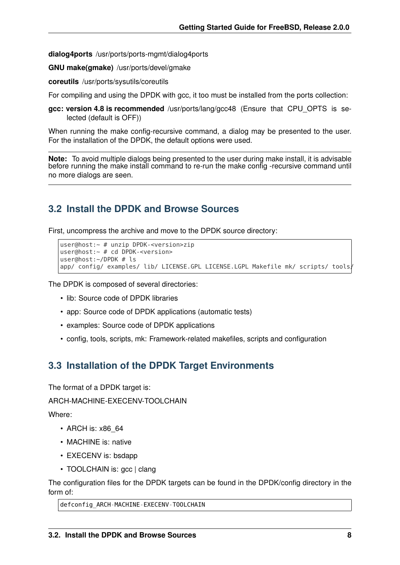**dialog4ports** /usr/ports/ports-mgmt/dialog4ports

**GNU make(gmake)** /usr/ports/devel/gmake

**coreutils** /usr/ports/sysutils/coreutils

For compiling and using the DPDK with gcc, it too must be installed from the ports collection:

**gcc: version 4.8 is recommended** /usr/ports/lang/gcc48 (Ensure that CPU\_OPTS is selected (default is OFF))

When running the make config-recursive command, a dialog may be presented to the user. For the installation of the DPDK, the default options were used.

**Note:** To avoid multiple dialogs being presented to the user during make install, it is advisable before running the make install command to re-run the make config -recursive command until no more dialogs are seen.

### <span id="page-9-0"></span>**3.2 Install the DPDK and Browse Sources**

First, uncompress the archive and move to the DPDK source directory:

```
user@host:~ # unzip DPDK-<version>zip
user@host:~ # cd DPDK-<version>
user@host:~/DPDK # ls
app/ config/ examples/ lib/ LICENSE.GPL LICENSE.LGPL Makefile mk/ scripts/ tools
```
The DPDK is composed of several directories:

- lib: Source code of DPDK libraries
- app: Source code of DPDK applications (automatic tests)
- examples: Source code of DPDK applications
- config, tools, scripts, mk: Framework-related makefiles, scripts and configuration

### <span id="page-9-1"></span>**3.3 Installation of the DPDK Target Environments**

The format of a DPDK target is:

ARCH-MACHINE-EXECENV-TOOLCHAIN

Where:

- ARCH is: x86\_64
- MACHINE is: native
- EXECENV is: bsdapp
- TOOLCHAIN is: acc | clang

The configuration files for the DPDK targets can be found in the DPDK/config directory in the form of:

defconfig\_ARCH-MACHINE-EXECENV-TOOLCHAIN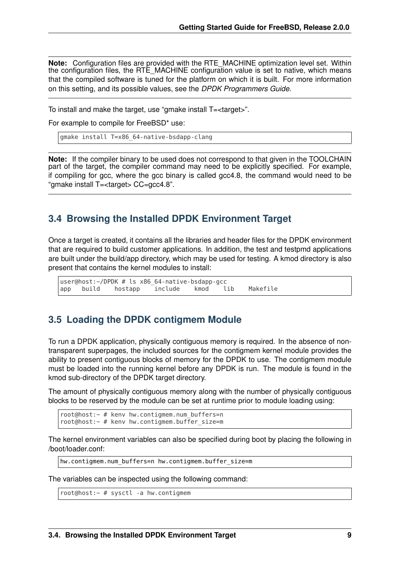**Note:** Configuration files are provided with the RTE\_MACHINE optimization level set. Within the configuration files, the RTE\_MACHINE configuration value is set to native, which means that the compiled software is tuned for the platform on which it is built. For more information on this setting, and its possible values, see the *DPDK Programmers Guide*.

To install and make the target, use "gmake install T=<target>".

For example to compile for FreeBSD\* use:

gmake install T=x86\_64-native-bsdapp-clang

**Note:** If the compiler binary to be used does not correspond to that given in the TOOLCHAIN part of the target, the compiler command may need to be explicitly specified. For example, if compiling for gcc, where the gcc binary is called gcc4.8, the command would need to be "gmake install T=<target> CC=gcc4.8".

#### <span id="page-10-0"></span>**3.4 Browsing the Installed DPDK Environment Target**

Once a target is created, it contains all the libraries and header files for the DPDK environment that are required to build customer applications. In addition, the test and testpmd applications are built under the build/app directory, which may be used for testing. A kmod directory is also present that contains the kernel modules to install:

user@host:~/DPDK # ls x86\_64-native-bsdapp-gcc app build hostapp include kmod lib Makefile

#### <span id="page-10-1"></span>**3.5 Loading the DPDK contigmem Module**

To run a DPDK application, physically contiguous memory is required. In the absence of nontransparent superpages, the included sources for the contigmem kernel module provides the ability to present contiguous blocks of memory for the DPDK to use. The contigmem module must be loaded into the running kernel before any DPDK is run. The module is found in the kmod sub-directory of the DPDK target directory.

The amount of physically contiguous memory along with the number of physically contiguous blocks to be reserved by the module can be set at runtime prior to module loading using:

root@host:~ # kenv hw.contigmem.num\_buffers=n root@host:~ # kenv hw.contigmem.buffer size=m

The kernel environment variables can also be specified during boot by placing the following in /boot/loader.conf:

hw.contigmem.num buffers=n hw.contigmem.buffer size=m

The variables can be inspected using the following command:

root@host:~ # sysctl -a hw.contigmem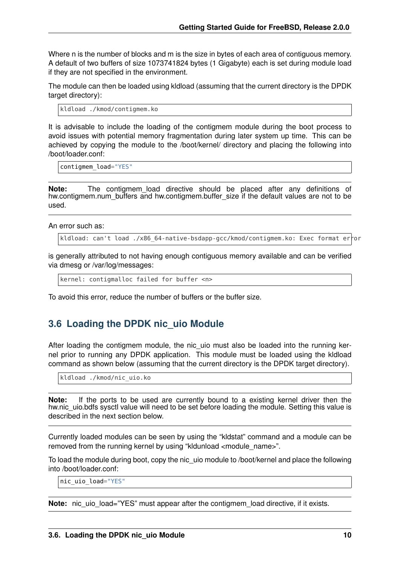Where n is the number of blocks and m is the size in bytes of each area of contiguous memory. A default of two buffers of size 1073741824 bytes (1 Gigabyte) each is set during module load if they are not specified in the environment.

The module can then be loaded using kldload (assuming that the current directory is the DPDK target directory):

kldload ./kmod/contigmem.ko

It is advisable to include the loading of the contigmem module during the boot process to avoid issues with potential memory fragmentation during later system up time. This can be achieved by copying the module to the /boot/kernel/ directory and placing the following into /boot/loader.conf:

```
contigmem_load="YES"
```
**Note:** The contigmem\_load directive should be placed after any definitions of hw.contigmem.num\_buffers and hw.contigmem.buffer\_size if the default values are not to be used.

An error such as:

kldload: can't load ./x86 64-native-bsdapp-gcc/kmod/contigmem.ko: Exec format error

is generally attributed to not having enough contiguous memory available and can be verified via dmesg or /var/log/messages:

kernel: contigmalloc failed for buffer <n>

To avoid this error, reduce the number of buffers or the buffer size.

### <span id="page-11-0"></span>**3.6 Loading the DPDK nic\_uio Module**

After loading the contigmem module, the nic\_uio must also be loaded into the running kernel prior to running any DPDK application. This module must be loaded using the kldload command as shown below (assuming that the current directory is the DPDK target directory).

kldload ./kmod/nic\_uio.ko

**Note:** If the ports to be used are currently bound to a existing kernel driver then the hw.nic uio.bdfs sysctl value will need to be set before loading the module. Setting this value is described in the next section below.

Currently loaded modules can be seen by using the "kldstat" command and a module can be removed from the running kernel by using "kldunload <module\_name>".

To load the module during boot, copy the nic\_uio module to /boot/kernel and place the following into /boot/loader.conf:

nic\_uio\_load="YES"

**Note:** nic\_uio\_load="YES" must appear after the contigmem\_load directive, if it exists.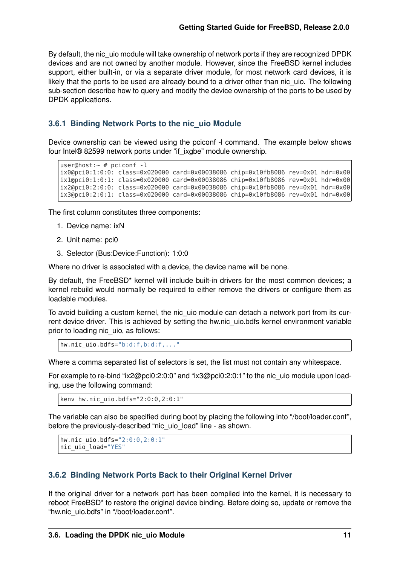By default, the nic uio module will take ownership of network ports if they are recognized DPDK devices and are not owned by another module. However, since the FreeBSD kernel includes support, either built-in, or via a separate driver module, for most network card devices, it is likely that the ports to be used are already bound to a driver other than nic uio. The following sub-section describe how to query and modify the device ownership of the ports to be used by DPDK applications.

#### <span id="page-12-0"></span>**3.6.1 Binding Network Ports to the nic\_uio Module**

Device ownership can be viewed using the pciconf -l command. The example below shows four Intel® 82599 network ports under "if\_ixgbe" module ownership.

```
user@host:~ # pciconf -l
ix0@pci0:1:0:0: class=0x020000 card=0x00038086 chip=0x10fb8086 rev=0x01 hdr=0x00
ix1@pci0:1:0:1: class=0x020000 card=0x00038086 chip=0x10fb8086 rev=0x01 hdr=0x00
ix2@pci0:2:0:0: class=0x020000 card=0x00038086 chip=0x10fb8086 rev=0x01 hdr=0x00
ix3@pci0:2:0:1: class=0x020000 card=0x00038086 chip=0x10fb8086 rev=0x01 hdr=0x00
```
The first column constitutes three components:

- 1. Device name: ixN
- 2. Unit name: pci0
- 3. Selector (Bus:Device:Function): 1:0:0

Where no driver is associated with a device, the device name will be none.

By default, the FreeBSD\* kernel will include built-in drivers for the most common devices; a kernel rebuild would normally be required to either remove the drivers or configure them as loadable modules.

To avoid building a custom kernel, the nic uio module can detach a network port from its current device driver. This is achieved by setting the hw.nic uio.bdfs kernel environment variable prior to loading nic uio, as follows:

```
hw.nic_uio.bdfs="b:d:f,b:d:f,..."
```
Where a comma separated list of selectors is set, the list must not contain any whitespace.

For example to re-bind "ix2@pci0:2:0:0" and "ix3@pci0:2:0:1" to the nic\_uio module upon loading, use the following command:

kenv hw.nic\_uio.bdfs="2:0:0,2:0:1"

The variable can also be specified during boot by placing the following into "/boot/loader.conf", before the previously-described "nic\_uio\_load" line - as shown.

```
hw.nic_uio.bdfs="2:0:0,2:0:1"
nic uio load="YES"
```
#### **3.6.2 Binding Network Ports Back to their Original Kernel Driver**

If the original driver for a network port has been compiled into the kernel, it is necessary to reboot FreeBSD\* to restore the original device binding. Before doing so, update or remove the "hw.nic\_uio.bdfs" in "/boot/loader.conf".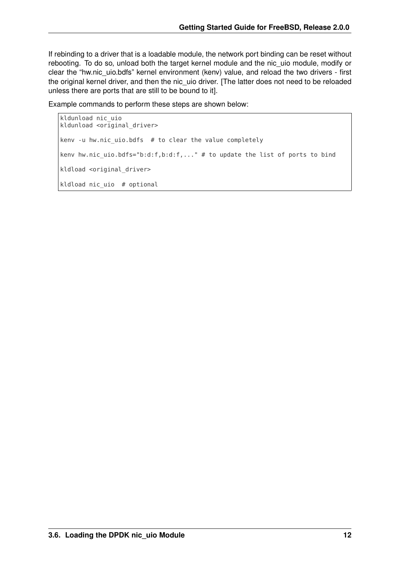If rebinding to a driver that is a loadable module, the network port binding can be reset without rebooting. To do so, unload both the target kernel module and the nic\_uio module, modify or clear the "hw.nic\_uio.bdfs" kernel environment (kenv) value, and reload the two drivers - first the original kernel driver, and then the nic uio driver. [The latter does not need to be reloaded unless there are ports that are still to be bound to it].

Example commands to perform these steps are shown below:

```
kldunload nic_uio
kldunload <original_driver>
kenv -u hw.nic_uio.bdfs # to clear the value completely
kenv hw.nic_uio.bdfs="b:d:f,b:d:f,..." # to update the list of ports to bind
kldload <original_driver>
kldload nic_uio # optional
```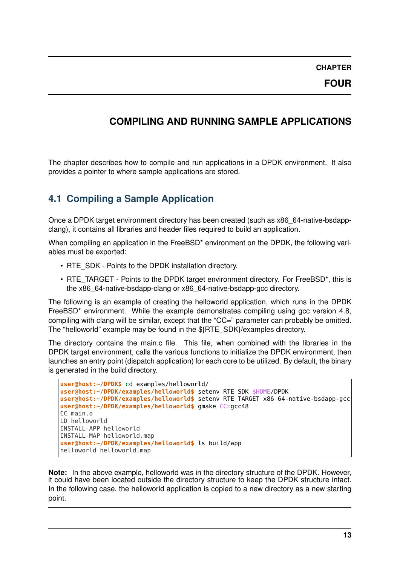### <span id="page-14-0"></span>**COMPILING AND RUNNING SAMPLE APPLICATIONS**

The chapter describes how to compile and run applications in a DPDK environment. It also provides a pointer to where sample applications are stored.

### <span id="page-14-1"></span>**4.1 Compiling a Sample Application**

Once a DPDK target environment directory has been created (such as x86\_64-native-bsdappclang), it contains all libraries and header files required to build an application.

When compiling an application in the FreeBSD<sup>\*</sup> environment on the DPDK, the following variables must be exported:

- RTE\_SDK Points to the DPDK installation directory.
- RTE\_TARGET Points to the DPDK target environment directory. For FreeBSD\*, this is the x86\_64-native-bsdapp-clang or x86\_64-native-bsdapp-gcc directory.

The following is an example of creating the helloworld application, which runs in the DPDK FreeBSD<sup>\*</sup> environment. While the example demonstrates compiling using gcc version 4.8, compiling with clang will be similar, except that the "CC=" parameter can probably be omitted. The "helloworld" example may be found in the \${RTE\_SDK}/examples directory.

The directory contains the main.c file. This file, when combined with the libraries in the DPDK target environment, calls the various functions to initialize the DPDK environment, then launches an entry point (dispatch application) for each core to be utilized. By default, the binary is generated in the build directory.

```
user@host:~/DPDK$ cd examples/helloworld/
user@host:~/DPDK/examples/helloworld$ setenv RTE_SDK $HOME/DPDK
user@host:~/DPDK/examples/helloworld$ setenv RTE_TARGET x86_64-native-bsdapp-gcc
user@host:~/DPDK/examples/helloworld$ gmake CC=gcc48
CC main.o
LD helloworld
INSTALL-APP helloworld
INSTALL-MAP helloworld.map
user@host:~/DPDK/examples/helloworld$ ls build/app
helloworld helloworld.map
```
**Note:** In the above example, helloworld was in the directory structure of the DPDK. However, it could have been located outside the directory structure to keep the DPDK structure intact. In the following case, the helloworld application is copied to a new directory as a new starting point.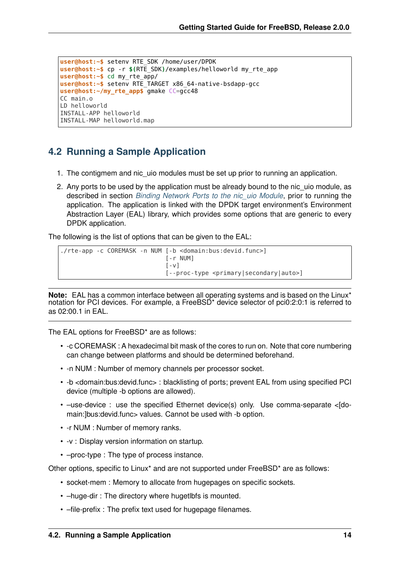```
user@host:~$ setenv RTE_SDK /home/user/DPDK
user@host:~$ cp -r $(RTE_SDK)/examples/helloworld my_rte_app
user@host:~$ cd my_rte_app/
user@host:~$ setenv RTE_TARGET x86_64-native-bsdapp-gcc
user@host:~/my_rte_app$ gmake CC=gcc48
CC main.o
LD helloworld
INSTALL-APP helloworld
INSTALL-MAP helloworld.map
```
### <span id="page-15-0"></span>**4.2 Running a Sample Application**

- 1. The contigmem and nic\_uio modules must be set up prior to running an application.
- 2. Any ports to be used by the application must be already bound to the nic uio module, as described in section *[Binding Network Ports to the nic\\_uio Module](#page-12-0)*, prior to running the application. The application is linked with the DPDK target environment's Environment Abstraction Layer (EAL) library, which provides some options that are generic to every DPDK application.

The following is the list of options that can be given to the EAL:

```
./rte-app -c COREMASK -n NUM [-b <domain:bus:devid.func>]
                                [-r NUM]
                                \lceil -v \rceil[--proc-type <primary|secondary|auto>]
```
**Note:** EAL has a common interface between all operating systems and is based on the Linux\* notation for PCI devices. For example, a FreeBSD\* device selector of pci0:2:0:1 is referred to as 02:00.1 in EAL.

The EAL options for FreeBSD<sup>\*</sup> are as follows:

- -c COREMASK : A hexadecimal bit mask of the cores to run on. Note that core numbering can change between platforms and should be determined beforehand.
- -n NUM : Number of memory channels per processor socket.
- -b <domain:bus:devid.func> : blacklisting of ports; prevent EAL from using specified PCI device (multiple -b options are allowed).
- –use-device : use the specified Ethernet device(s) only. Use comma-separate <[domain:]bus:devid.func> values. Cannot be used with -b option.
- -r NUM : Number of memory ranks.
- -v : Display version information on startup.
- –proc-type : The type of process instance.

Other options, specific to Linux\* and are not supported under FreeBSD\* are as follows:

- socket-mem : Memory to allocate from hugepages on specific sockets.
- –huge-dir : The directory where hugetlbfs is mounted.
- –file-prefix : The prefix text used for hugepage filenames.